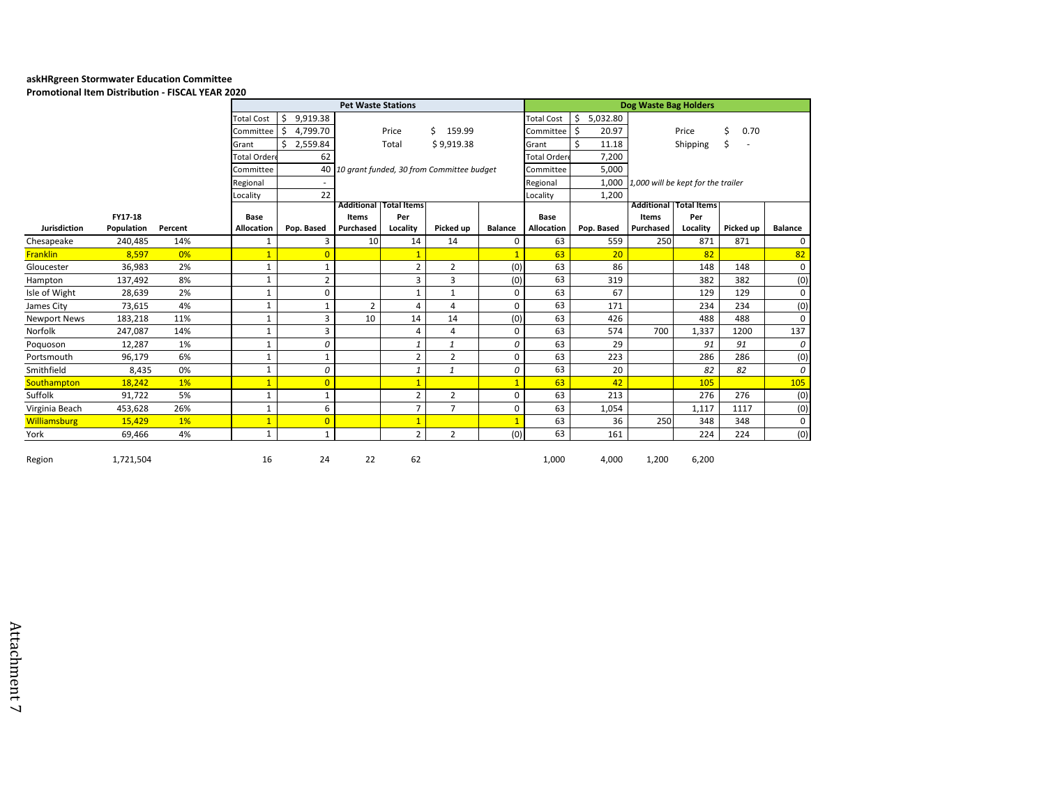## **askHRgreen Stormwater Education Committee**

**Promotional Item Distribution - FISCAL YEAR 2020**

|                     |            |         |                   |                                                                        | Dog Waste Bag Holders |                               |                |                |                   |                |                                    |             |           |                |  |  |
|---------------------|------------|---------|-------------------|------------------------------------------------------------------------|-----------------------|-------------------------------|----------------|----------------|-------------------|----------------|------------------------------------|-------------|-----------|----------------|--|--|
|                     |            |         | <b>Total Cost</b> | \$<br>9,919.38                                                         |                       |                               |                |                | <b>Total Cost</b> | \$<br>5,032.80 |                                    |             |           |                |  |  |
|                     |            |         | Committee         | 4,799.70<br>Ŝ.                                                         |                       | Price                         | Ś.<br>159.99   |                | Committee         | Ŝ.<br>20.97    |                                    | Price       | 0.70      |                |  |  |
|                     |            |         | Grant             | Ŝ.<br>2,559.84                                                         | \$9,919.38<br>Total   |                               |                | Grant          | Ś<br>11.18        |                | Shipping                           | \$          |           |                |  |  |
|                     |            |         | Total Order       | 62                                                                     |                       |                               |                |                | Total Order       | 7,200          |                                    |             |           |                |  |  |
|                     |            |         |                   | 40 10 grant funded, 30 from Committee budget<br>Committee<br>Committee |                       |                               |                |                |                   | 5,000          |                                    |             |           |                |  |  |
|                     |            |         | Regional          |                                                                        |                       |                               |                |                | Regional          | 1,000          | 1,000 will be kept for the trailer |             |           |                |  |  |
|                     |            |         | Locality          | 22                                                                     |                       | Locality                      |                |                |                   | 1,200          |                                    |             |           |                |  |  |
|                     |            |         |                   |                                                                        |                       | <b>Additional Total Items</b> |                |                |                   |                | <b>Additional</b>                  | Total Items |           |                |  |  |
|                     | FY17-18    |         | Base              |                                                                        | Items                 | Per                           |                |                | Base              |                | Items                              | Per         |           |                |  |  |
| <b>Jurisdiction</b> | Population | Percent | Allocation        | Pop. Based                                                             | Purchased             | Locality                      | Picked up      | <b>Balance</b> | Allocation        | Pop. Based     | Purchased                          | Locality    | Picked up | <b>Balance</b> |  |  |
| Chesapeake          | 240,485    | 14%     | 1                 | 3                                                                      | 10                    | 14                            | 14             | 0              | 63                | 559            | 250                                | 871         | 871       | $\mathbf 0$    |  |  |
| <b>Franklin</b>     | 8.597      | 0%      | $\overline{1}$    | $\overline{0}$                                                         |                       | $\overline{1}$                |                | $\overline{1}$ | 63                | 20             |                                    | 82          |           | 82             |  |  |
| Gloucester          | 36,983     | 2%      | 1                 | 1                                                                      |                       | $\overline{2}$                | $\overline{2}$ | (0)            | 63                | 86             |                                    | 148         | 148       | $\mathbf 0$    |  |  |
| Hampton             | 137,492    | 8%      | 1                 | $\overline{2}$                                                         |                       | 3                             | 3              | (0)            | 63                | 319            |                                    | 382         | 382       | (0)            |  |  |
| Isle of Wight       | 28,639     | 2%      | $\mathbf{1}$      | $\mathbf 0$                                                            |                       | $\mathbf{1}$                  | $\mathbf{1}$   | 0              | 63                | 67             |                                    | 129         | 129       | 0              |  |  |
| James City          | 73,615     | 4%      | $\mathbf{1}$      | 1                                                                      | $\overline{2}$        | 4                             | 4              | 0              | 63                | 171            |                                    | 234         | 234       | (0)            |  |  |
| <b>Newport News</b> | 183,218    | 11%     | 1                 | 3                                                                      | 10                    | 14                            | 14             | (0)            | 63                | 426            |                                    | 488         | 488       | 0              |  |  |
| Norfolk             | 247,087    | 14%     | 1                 | 3                                                                      |                       | $\overline{4}$                | 4              | $\Omega$       | 63                | 574            | 700                                | 1,337       | 1200      | 137            |  |  |
| Poquoson            | 12,287     | 1%      | $\mathbf{1}$      | 0                                                                      |                       | 1                             | $\mathbf{1}$   | 0              | 63                | 29             |                                    | 91          | 91        | 0              |  |  |
| Portsmouth          | 96,179     | 6%      | $\mathbf{1}$      | $\mathbf{1}$                                                           |                       | $\overline{2}$                | $\overline{2}$ | 0              | 63                | 223            |                                    | 286         | 286       | (0)            |  |  |
| Smithfield          | 8,435      | 0%      | 1                 | 0                                                                      |                       | 1                             | 1              | 0              | 63                | 20             |                                    | 82          | 82        | 0              |  |  |
| Southampton         | 18,242     | 1%      | $\overline{1}$    | $\overline{0}$                                                         |                       | $\overline{1}$                |                |                | 63                | 42             |                                    | 105         |           | 105            |  |  |
| Suffolk             | 91,722     | 5%      | $\mathbf{1}$      | $\mathbf{1}$                                                           |                       | $\overline{2}$                | $\overline{2}$ | $\Omega$       | 63                | 213            |                                    | 276         | 276       | (0)            |  |  |
| Virginia Beach      | 453,628    | 26%     | $\mathbf{1}$      | 6                                                                      |                       | 7                             | $\overline{7}$ | $\Omega$       | 63                | 1,054          |                                    | 1,117       | 1117      | (0)            |  |  |
| <b>Williamsburg</b> | 15,429     | 1%      | $\overline{1}$    | $\overline{0}$                                                         |                       | $\overline{1}$                |                |                | 63                | 36             | 250                                | 348         | 348       | 0              |  |  |
| York                | 69,466     | 4%      | $\mathbf{1}$      | $\mathbf{1}$                                                           |                       | $\overline{2}$                | $\overline{2}$ | (0)            | 63                | 161            |                                    | 224         | 224       | (0)            |  |  |
| Region              | 1,721,504  |         | 16                | 24                                                                     | 22                    | 62                            |                |                | 1,000             | 4,000          | 1,200                              | 6,200       |           |                |  |  |